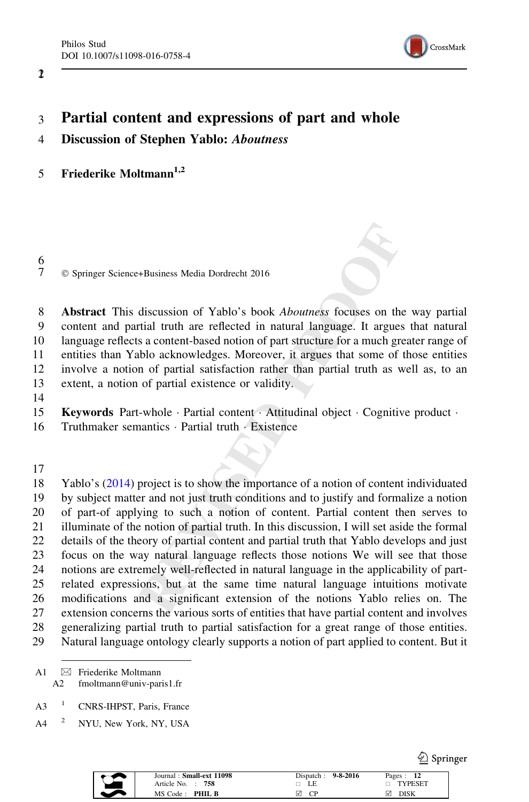



# 2<br> $\frac{1}{3}$  Partial content and expressions of part and whole

- 4 Discussion of Stephen Yablo: Aboutness
- 5 Friederike Moltmann<sup>1,2</sup>

67 - Springer Science+Business Media Dordrecht 2016

8 **Abstract** This discussion of Yablo's book *Aboutness* focuses on the way partial 9 content and partial truth are reflected in natural language. It argues that natural 10 language reflects a content-based notion of part structure for a much greater range of 11 entities than Yablo acknowledges. Moreover, it argues that some of those entities 12 involve a notion of partial satisfaction rather than partial truth as well as, to an 13 extent, a notion of partial existence or validity. 14

15 Keywords Part-whole · Partial content · Attitudinal object · Cognitive product ·

16 Truthmaker semantics · Partial truth · Existence

17

<sup>1</sup>Housiness Media Dordrecht 2016<br>
discussion of Yablo's book *Aboutness* focuses on the<br>
trial truth are reflected in natural language. It argues<br>
s a content-based notion of part structure for a much grable<br>
holo acknowl 18 Yablo's [\(2014](#page-11-0)) project is to show the importance of a notion of content individuated 19 by subject matter and not just truth conditions and to justify and formalize a notion 20 of part-of applying to such a notion of content. Partial content then serves to 21 illuminate of the notion of partial truth. In this discussion, I will set aside the formal 22 details of the theory of partial content and partial truth that Yablo develops and just 23 focus on the way natural language reflects those notions We will see that those 24 notions are extremely well-reflected in natural language in the applicability of part-25 related expressions, but at the same time natural language intuitions motivate 26 modifications and a significant extension of the notions Yablo relies on. The 27 extension concerns the various sorts of entities that have partial content and involves 28 generalizing partial truth to partial satisfaction for a great range of those entities. 29 Natural language ontology clearly supports a notion of part applied to content. But it

A4 NYU, New York, NY, USA

| Journal: Small-ext 11098 | 9-8-2016<br>Dispatch: | Pages: 12        |
|--------------------------|-----------------------|------------------|
| Article No. : 758        |                       | <b>TYPESET</b>   |
| MS Code: PHIL B          | $\cap$                | <b>DISK</b><br>⊓ |
|                          |                       |                  |

A1  $\boxtimes$  Friederike Moltmann<br>A2 fmoltmann@univ-par fmoltmann@univ-paris1.fr

A3 CNRS-IHPST, Paris, France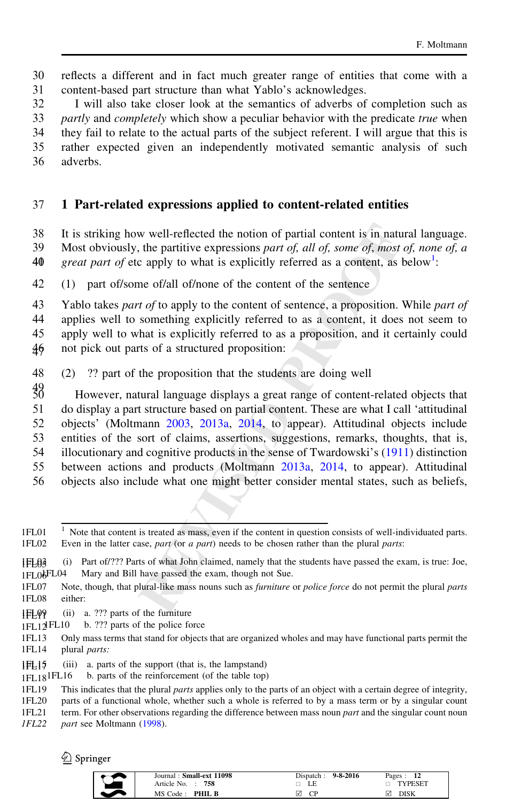30 reflects a different and in fact much greater range of entities that come with a 31 content-based part structure than what Yablo's acknowledges.

32 I will also take closer look at the semantics of adverbs of completion such as 33 partly and completely which show a peculiar behavior with the predicate true when 34 they fail to relate to the actual parts of the subject referent. I will argue that this is 35 rather expected given an independently motivated semantic analysis of such 36 adverbs.

### 37 1 Part-related expressions applied to content-related entities

38 It is striking how well-reflected the notion of partial content is in natural language.

39 Most obviously, the partitive expressions part of, all of, some of, most of, none of, a

40 great part of etc apply to what is explicitly referred as a content, as below<sup>1</sup>:

42 (1) part of/some of/all of/none of the content of the sentence

w well-reflected the notion of partial content is in natu, the partitive expressions *part of, all of, some of, most* c apply to what is explicitly referred as a content, as lene of/all of/none of the content of the sente 43 Yablo takes part of to apply to the content of sentence, a proposition. While part of 44 applies well to something explicitly referred to as a content, it does not seem to 45 apply well to what is explicitly referred to as a proposition, and it certainly could

46 not pick out parts of a structured proposition: 47

48 (2) ?? part of the proposition that the students are doing well

4950 However, natural language displays a great range of content-related objects that 51 do display a part structure based on partial content. These are what I call 'attitudinal

52 objects' (Moltmann 2003, 2013a, 2014, to appear). Attitudinal objects include

53 entities of the sort of claims, assertions, suggestions, remarks, thoughts, that is,

54 illocutionary and cognitive products in the sense of Twardowski's [\(1911](#page-11-0)) distinction

- 55 between actions and products (Moltmann [2013a](#page-10-0), [2014,](#page-10-0) to appear). Attitudinal
- 56 objects also include what one might better consider mental states, such as beliefs,

1FL07 Note, though, that plural-like mass nouns such as *furniture* or *police force* do not permit the plural *parts* 1FL08 either:

 $(ii)$  a. ??? parts of the furniture 1FL<sub>09</sub>

b. ??? parts of the police force  $1FL12$ FL10

1FL13 Only mass terms that stand for objects that are organized wholes and may have functional parts permit the 1FL14 plural parts:

 $(iii)$  a. parts of the support (that is, the lampstand) 1FL17

b. parts of the reinforcement (of the table top) 1FL18<sup>1FL16</sup>

1FL19 This indicates that the plural parts applies only to the parts of an object with a certain degree of integrity,

1FL20 parts of a functional whole, whether such a whole is referred to by a mass term or by a singular count

1FL21 term. For other observations regarding the difference between mass noun *part* and the singular count noun 1FL22 part see Moltmann [\(1998](#page-10-0)).

| Journal: Small-ext 11098 | 9-8-2016<br>Dispatch: | Pages: 12      |
|--------------------------|-----------------------|----------------|
| Article No. : 758        |                       | <b>TYPESET</b> |
| MS Code: PHILB           | CP                    | <b>DISK</b>    |

<sup>1</sup>FL01 <sup>1</sup> Note that content is treated as mass, even if the content in question consists of well-individuated parts.<br>1FL02 Even in the latter case, *part* (or *a part*) needs to be chosen rather than the plural *parts*: Even in the latter case, part (or a part) needs to be chosen rather than the plural parts:

 $(i)$  Part of/??? Parts of what John claimed, namely that the students have passed the exam, is true: Joe, Mary and Bill have passed the exam, though not Sue. 1FL05 1FL06FL04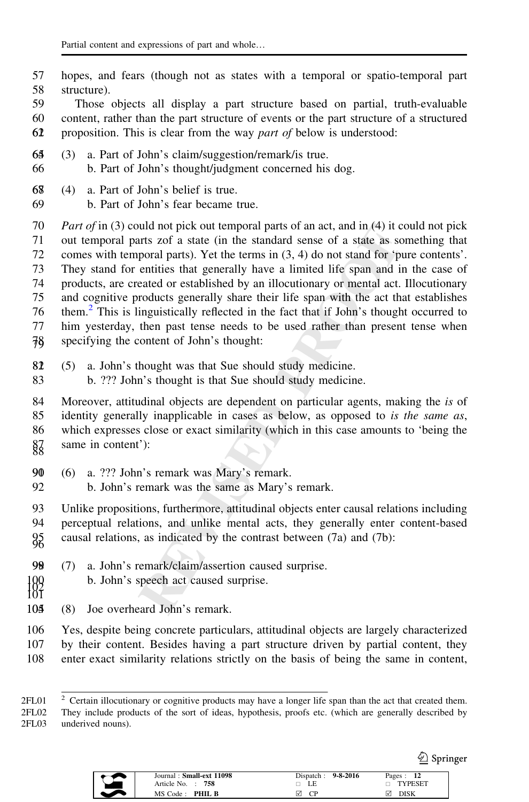57 hopes, and fears (though not as states with a temporal or spatio-temporal part 58 structure).

59 Those objects all display a part structure based on partial, truth-evaluable 60 content, rather than the part structure of events or the part structure of a structured 62 proposition. This is clear from the way *part of* below is understood:

- 64  $(3)$  a. Part of John's claim/suggestion/remark/is true. 66 b. Part of John's thought/judgment concerned his dog.
- $68$  (4) a. Part of John's belief is true.
- 69 b. Part of John's fear became true.

and mot pick out temporal parts of an act, and in (4) it can that zof a state (in the standard sense of a state as scored ratify coral parts). Yet the trems in (3, 4) do not stand for 'phy endities that generally have a li 70 Part of in (3) could not pick out temporal parts of an act, and in (4) it could not pick 71 out temporal parts zof a state (in the standard sense of a state as something that 72 comes with temporal parts). Yet the terms in (3, 4) do not stand for 'pure contents'. 73 They stand for entities that generally have a limited life span and in the case of 74 products, are created or established by an illocutionary or mental act. Illocutionary 75 and cognitive products generally share their life span with the act that establishes 76 them.<sup>2</sup> This is linguistically reflected in the fact that if John's thought occurred to 77 him yesterday, then past tense needs to be used rather than present tense when 78 specifying the content of John's thought: 79

## 82 (5) a. John's thought was that Sue should study medicine.

- 83 b. ??? John's thought is that Sue should study medicine.
- 84 Moreover, attitudinal objects are dependent on particular agents, making the is of 85 identity generally inapplicable in cases as below, as opposed to is the same as, 86 which expresses close or exact similarity (which in this case amounts to 'being the 87 same in content'): <sup>88</sup>
- 90 (6) a. ??? John's remark was Mary's remark.
- 92 b. John's remark was the same as Mary's remark.

93 Unlike propositions, furthermore, attitudinal objects enter causal relations including 94 perceptual relations, and unlike mental acts, they generally enter content-based 95 causal relations, as indicated by the contrast between (7a) and (7b): <sup>96</sup>

- 99 (7) a. John's remark/claim/assertion caused surprise.
	- b. John's speech act caused surprise.
- 182<br>187
- 104 (8) Joe overheard John's remark.

106 Yes, despite being concrete particulars, attitudinal objects are largely characterized 107 by their content. Besides having a part structure driven by partial content, they 108 enter exact similarity relations strictly on the basis of being the same in content,

| Journal: Small-ext 11098 | Dispatch : 9-8-2016 | Pages: 12        |
|--------------------------|---------------------|------------------|
| Article No. : 758        | □ LE                | n TYPESET        |
| MS Code : PHILB          | $\cap$              | <b>DISK</b><br>☑ |
|                          |                     |                  |

<sup>2</sup>FL01 <sup>2</sup> Certain illocutionary or cognitive products may have a longer life span than the act that created them. 2FL02 They include products of the sort of ideas, hypothesis, proofs etc. (which are generally described by 2FL03 underived nouns).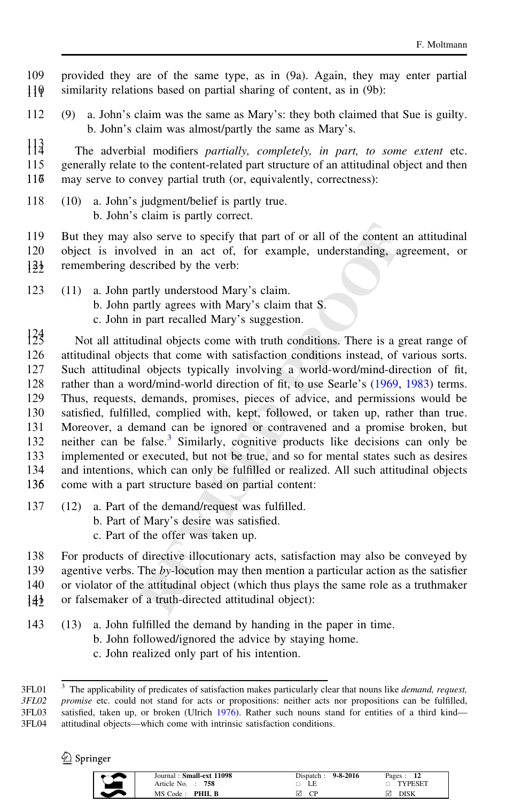- 109 provided they are of the same type, as in (9a). Again, they may enter partial 110 similarity relations based on partial sharing of content, as in (9b): 111
- 112 (9) a. John's claim was the same as Mary's: they both claimed that Sue is guilty. b. John's claim was almost/partly the same as Mary's.

 $113$  The adverbial modifiers *partially, completely, in part, to some extent* etc. 115 generally relate to the content-related part structure of an attitudinal object and then<br>116 may serve to convey partial truth (or equivalently correctness) may serve to convey partial truth (or, equivalently, correctness):

118 (10) a. John's judgment/belief is partly true. b. John's claim is partly correct.

119 But they may also serve to specify that part of or all of the content an attitudinal 120 object is involved in an act of, for example, understanding, agreement, or 13<sup>1</sup> remembering described by the verb:

123 (11) a. John partly understood Mary's claim. b. John partly agrees with Mary's claim that S. c. John in part recalled Mary's suggestion.

also serve to specify that part of or all of the content<br>tived in an act of, for example, understanding, a<br>gescribed by the verb:<br>artly understood Mary's claim.<br>artly argets with Mary's claim.<br>nartly agrees with Mary's su Not all attitudinal objects come with truth conditions. There is a great range of attitudinal objects that come with satisfaction conditions instead, of various sorts. Such attitudinal objects typically involving a world-word/mind-direction of fit, rather than a word/mind-world direction of fit, to use Searle's (1969, [1983\)](#page-11-0) terms. Thus, requests, demands, promises, pieces of advice, and permissions would be satisfied, fulfilled, complied with, kept, followed, or taken up, rather than true. Moreover, a demand can be ignored or contravened and a promise broken, but neither can be false.<sup>3</sup> Similarly, cognitive products like decisions can only be implemented or executed, but not be true, and so for mental states such as desires and intentions, which can only be fulfilled or realized. All such attitudinal objects come with a part structure based on partial content:

- 137 (12) a. Part of the demand/request was fulfilled. b. Part of Mary's desire was satisfied.
	- c. Part of the offer was taken up.
- 138 For products of directive illocutionary acts, satisfaction may also be conveyed by 139 agentive verbs. The by-locution may then mention a particular action as the satisfier

140 or violator of the attitudinal object (which thus plays the same role as a truthmaker

- 14<sup>1</sup> or falsemaker of a truth-directed attitudinal object):
- 143 (13) a. John fulfilled the demand by handing in the paper in time. b. John followed/ignored the advice by staying home. c. John realized only part of his intention.

| Journal: Small-ext 11098 | 9-8-2016<br>Dispatch: | Pages: 12        |
|--------------------------|-----------------------|------------------|
| Article No. : 758        | LE                    | <b>TYPESET</b>   |
| MS Code:<br>PHIL B       | CD                    | ⋒<br><b>DISK</b> |

 $3FLO1$ <sup>3</sup> The applicability of predicates of satisfaction makes particularly clear that nouns like *demand, request,* 3FL02 promise etc. could not stand for acts or propositions: neither acts nor propositions can be fulfilled, 3FL03 satisfied, taken up, or broken (Ulrich 1976). Rather such nouns stand for entities of a third kind satisfied, taken up, or broken (Ulrich  $1976$ ). Rather such nouns stand for entities of a third kind— 3FL04 attitudinal objects—which come with intrinsic satisfaction conditions.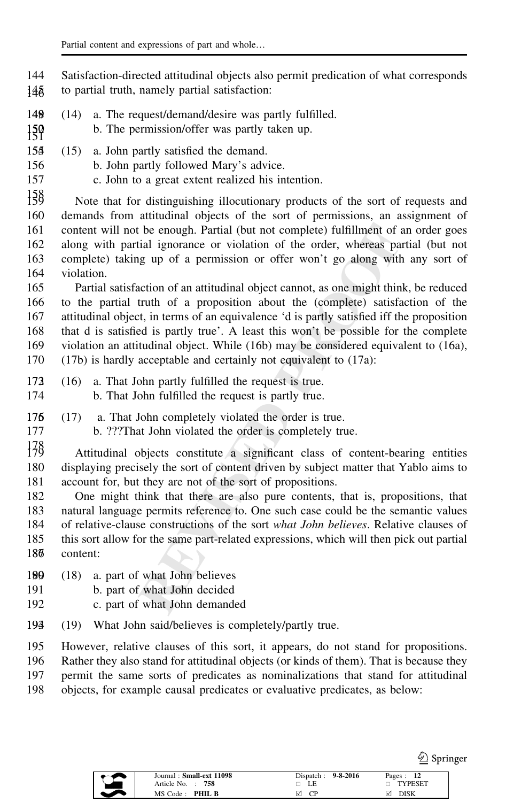- 144 Satisfaction-directed attitudinal objects also permit predication of what corresponds 145 to partial truth, namely partial satisfaction: 146
- 148 (14) a. The request/demand/desire was partly fulfilled.
- 150 b. The permission/offer was partly taken up.
- 154 (15) a. John partly satisfied the demand.
- 156 b. John partly followed Mary's advice.
- 157 c. John to a great extent realized his intention.

<sup>158</sup> 159 Note that for distinguishing illocutionary products of the sort of requests and 160 demands from attitudinal objects of the sort of permissions, an assignment of 161 content will not be enough. Partial (but not complete) fulfillment of an order goes content will not be enough. Partial (but not complete) fulfillment of an order goes 162 along with partial ignorance or violation of the order, whereas partial (but not 163 complete) taking up of a permission or offer won't go along with any sort of 164 violation.

the enough. Partial (but not complete) fulfillment of a<br>idial ignorance or violation of the order, whereas pa<br>g up of a permission or offer won't go along with<br>action of an attitudinal object cannot, as one might thin<br>trut 165 Partial satisfaction of an attitudinal object cannot, as one might think, be reduced 166 to the partial truth of a proposition about the (complete) satisfaction of the 167 attitudinal object, in terms of an equivalence 'd is partly satisfied iff the proposition 168 that d is satisfied is partly true'. A least this won't be possible for the complete 169 violation an attitudinal object. While (16b) may be considered equivalent to (16a), 170 (17b) is hardly acceptable and certainly not equivalent to (17a):

- 172 (16) a. That John partly fulfilled the request is true. 174 b. That John fulfilled the request is partly true.
- 175 (17) a. That John completely violated the order is true.<br>177 b 222 That John violated the order is completely true.
- 
- b. ???That John violated the order is completely true.

178<br>179 Attitudinal objects constitute a significant class of content-bearing entities<br>180 displaying precisely the sort of content driven by subject matter that Yablo aims to displaying precisely the sort of content driven by subject matter that Yablo aims to 181 account for, but they are not of the sort of propositions.

182 One might think that there are also pure contents, that is, propositions, that 183 natural language permits reference to. One such case could be the semantic values 184 of relative-clause constructions of the sort what John believes. Relative clauses of 185 this sort allow for the same part-related expressions, which will then pick out partial 18<sub>6</sub> content:

- 199 (18) a. part of what John believes
- 191 b. part of what John decided
- 192 c. part of what John demanded
- 193 (19) What John said/believes is completely/partly true.

195 However, relative clauses of this sort, it appears, do not stand for propositions. 196 Rather they also stand for attitudinal objects (or kinds of them). That is because they 197 permit the same sorts of predicates as nominalizations that stand for attitudinal 198 objects, for example causal predicates or evaluative predicates, as below:

| Journal: Small-ext 11098 | Dispatch : 9-8-2016 | Pages: 12          |
|--------------------------|---------------------|--------------------|
| Article No. : 758        | LE                  | <b>TYPESET</b>     |
| MS Code: PHILB           | CD                  | <b>DISK</b><br>ا⊽ا |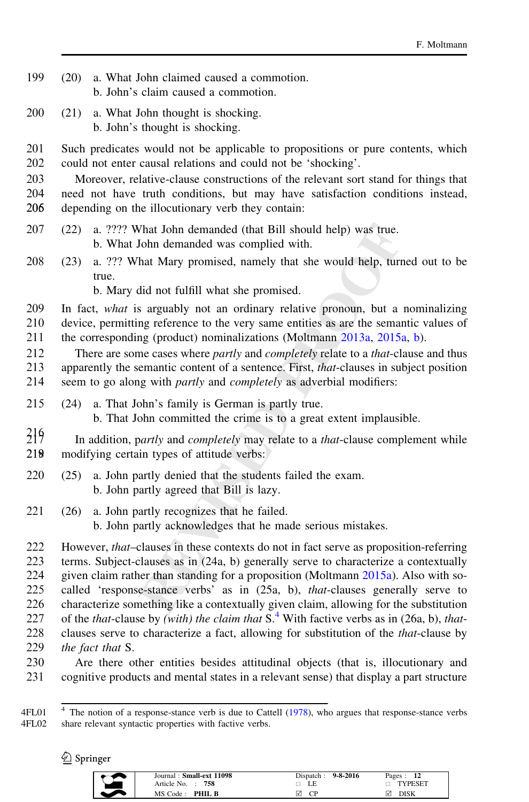- 199 (20) a. What John claimed caused a commotion. b. John's claim caused a commotion.
- 200 (21) a. What John thought is shocking. b. John's thought is shocking.

201 Such predicates would not be applicable to propositions or pure contents, which<br>202 could not enter causal relations and could not be 'shocking'. could not enter causal relations and could not be 'shocking'.

203 Moreover, relative-clause constructions of the relevant sort stand for things that 204 need not have truth conditions. but may have satisfaction conditions instead. need not have truth conditions, but may have satisfaction conditions instead, 2056 depending on the illocutionary verb they contain:

- 207 (22) a. ???? What John demanded (that Bill should help) was true. b. What John demanded was complied with.
- 208 (23) a. ??? What Mary promised, namely that she would help, turned out to be true.

b. Mary did not fulfill what she promised.

209 In fact, *what* is arguably not an ordinary relative pronoun, but a nominalizing  $210$  device, permitting reference to the very same entities as are the semantic values of device, permitting reference to the very same entities as are the semantic values of 211 the corresponding (product) nominalizations (Moltmann 2013a, [2015a](#page-10-0), [b\)](#page-10-0).

212 There are some cases where *partly* and *completely* relate to a *that*-clause and thus 213 apparently the semantic content of a sentence. First, that-clauses in subject position 214 seem to go along with *partly* and *completely* as adverbial modifiers:

215 (24) a. That John's family is German is partly true. b. That John committed the crime is to a great extent implausible.

 $216$  In addition, partly and *completely* may relate to a *that*-clause complement while 219 modifying certain types of attitude verbs:

- 220 (25) a. John partly denied that the students failed the exam. b. John partly agreed that Bill is lazy.
- 221 (26) a. John partly recognizes that he failed. b. John partly acknowledges that he made serious mistakes.

Vhat John demanded (that Bill should help) was true.<br>John demanded was complied with.<br>Hat Mary promised, namely that she would help, turn<br>did not fulfill what she promised.<br>s arguably not an ordinary relative pronoun, but 222 However, *that*–clauses in these contexts do not in fact serve as proposition-referring<br>223 terms. Subject-clauses as in (24a, b) generally serve to characterize a contextually terms. Subject-clauses as in (24a, b) generally serve to characterize a contextually 224 given claim rather than standing for a proposition (Moltmann [2015a\)](#page-10-0). Also with so-225 called 'response-stance verbs' as in (25a, b), that-clauses generally serve to 226 characterize something like a contextually given claim, allowing for the substitution 227 of the that-clause by (with) the claim that  $S^4$ . With factive verbs as in (26a, b), that-228 clauses serve to characterize a fact, allowing for substitution of the *that*-clause by 229 the fact that S.

230 Are there other entities besides attitudinal objects (that is, illocutionary and 231 cognitive products and mental states in a relevant sense) that display a part structure

| Journal: Small-ext 11098 | 9-8-2016<br>Dispatch: | Pages: 12        |
|--------------------------|-----------------------|------------------|
| Article No. : 758        | LE                    | <b>TYPESET</b>   |
| MS Code: PHILB           | CD                    | ☑<br><b>DISK</b> |

<sup>4</sup>FL01 <sup>4</sup> The notion of a response-stance verb is due to Cattell [\(1978\)](#page-10-0), who argues that response-stance verbs 4FL02 share relevant syntactic properties with factive verbs.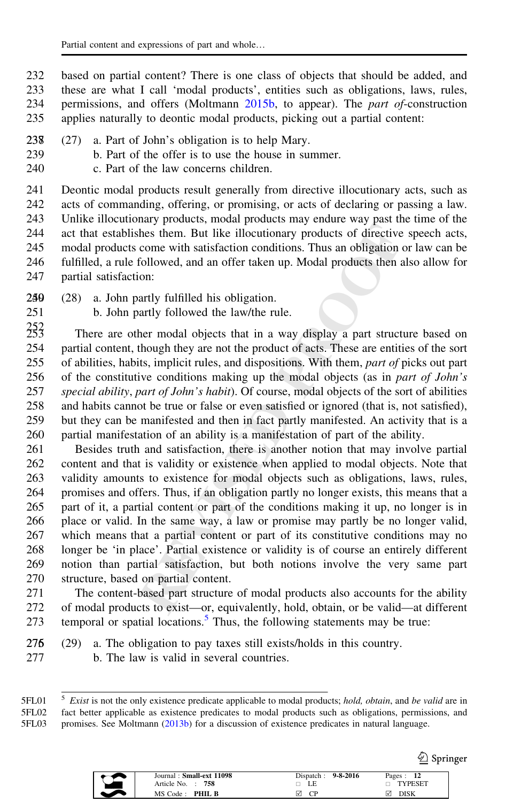232 based on partial content? There is one class of objects that should be added, and 233 these are what I call 'modal products', entities such as obligations, laws, rules, 234 permissions, and offers (Moltmann [2015b](#page-10-0), to appear). The *part of*-construction 235 applies naturally to deontic modal products, picking out a partial content:

- 238  $(27)$  a. Part of John's obligation is to help Mary.
- 239 b. Part of the offer is to use the house in summer.
- 240 c. Part of the law concerns children.

241 Deontic modal products result generally from directive illocutionary acts, such as 242 acts of commanding, offering, or promising, or acts of declaring or passing a law. 243 Unlike illocutionary products, modal products may endure way past the time of the 244 act that establishes them. But like illocutionary products of directive speech acts, 245 modal products come with satisfaction conditions. Thus an obligation or law can be 246 fulfilled, a rule followed, and an offer taken up. Modal products then also allow for 247 partial satisfaction:

249 (28) a. John partly fulfilled his obligation.

251 b. John partly followed the law/the rule.

252<br>253 There are other modal objects that in a way display a part structure based on<br>254 partial content, though they are not the product of acts. These are entities of the sort 254 partial content, though they are not the product of acts. These are entities of the sort 255 of abilities, habits, implicit rules, and dispositions. With them, part of picks out part  $256$  of the constitutive conditions making up the modal objects (as in part of John's of the constitutive conditions making up the modal objects (as in part of John's 257 special ability, part of John's habit). Of course, modal objects of the sort of abilities<br>258 and habits cannot be true or false or even satisfied or ignored (that is, not satisfied). and habits cannot be true or false or even satisfied or ignored (that is, not satisfied), 259 but they can be manifested and then in fact partly manifested. An activity that is a 260 partial manifestation of an ability is a manifestation of part of the ability.

these them. But like illocutionary products of directive come with satisfaction conditions. Thus an obligation followed, and an offer taken up. Modal products then a onical followed, and an offer taken up. Modal products 261 Besides truth and satisfaction, there is another notion that may involve partial 262 content and that is validity or existence when applied to modal objects. Note that 263 validity amounts to existence for modal objects such as obligations, laws, rules, 264 promises and offers. Thus, if an obligation partly no longer exists, this means that a 265 part of it, a partial content or part of the conditions making it up, no longer is in 266 place or valid. In the same way, a law or promise may partly be no longer valid, 267 which means that a partial content or part of its constitutive conditions may no 268 longer be 'in place'. Partial existence or validity is of course an entirely different 269 notion than partial satisfaction, but both notions involve the very same part 270 structure, based on partial content.

271 The content-based part structure of modal products also accounts for the ability 272 of modal products to exist—or, equivalently, hold, obtain, or be valid—at different 273 temporal or spatial locations.<sup>5</sup> Thus, the following statements may be true:

275 (29) a. The obligation to pay taxes still exists/holds in this country. 277 b. The law is valid in several countries.

 $5$  Exist is not the only existence predicate applicable to modal products; *hold, obtain*, and *be valid* are in  $5FL02$  fact better applicable as existence predicates to modal products such as obligations, permissions, a fact better applicable as existence predicates to modal products such as obligations, permissions, and 5FL03 promises. See Moltmann [\(2013b\)](#page-10-0) for a discussion of existence predicates in natural language.

| Journal: Small-ext 11098 | 9-8-2016<br>Dispatch: | Pages: 12   |
|--------------------------|-----------------------|-------------|
| Article No. : 758        | LE                    | TYPESET     |
| MS Code: PHILB           | ☞                     | <b>DISK</b> |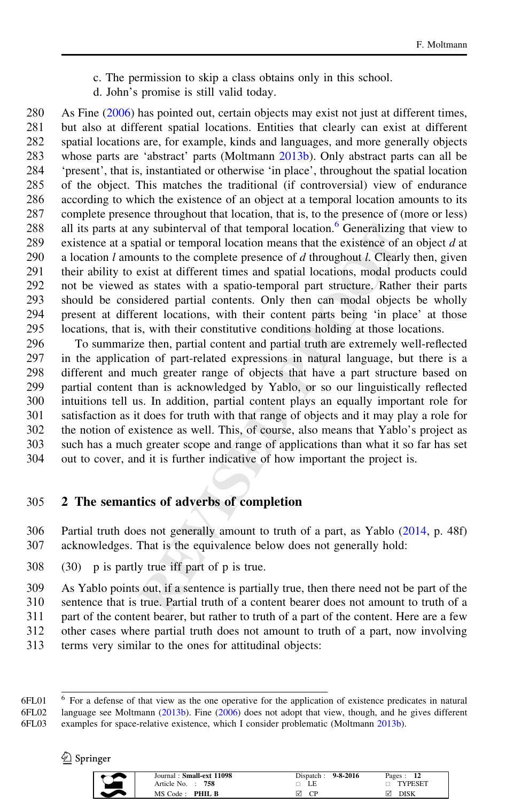- c. The permission to skip a class obtains only in this school.
- d. John's promise is still valid today.

 As Fine ([2006\)](#page-10-0) has pointed out, certain objects may exist not just at different times, but also at different spatial locations. Entities that clearly can exist at different spatial locations are, for example, kinds and languages, and more generally objects whose parts are 'abstract' parts (Moltmann [2013b\)](#page-10-0). Only abstract parts can all be 'present', that is, instantiated or otherwise 'in place', throughout the spatial location of the object. This matches the traditional (if controversial) view of endurance according to which the existence of an object at a temporal location amounts to its complete presence throughout that location, that is, to the presence of (more or less) 288 all its parts at any subinterval of that temporal location.<sup>6</sup> Generalizing that view to 289 existence at a spatial or temporal location means that the existence of an object d at 289 existence at a spatial or temporal location means that the existence of an object d at 290 a location *l* amounts to the complete presence of d throughout *l*. Clearly then given 290 a location *l* amounts to the complete presence of *d* throughout *l*. Clearly then, given their ability to exist at different times and spatial locations, modal products could their ability to exist at different times and spatial locations, modal products could 292 not be viewed as states with a spatio-temporal part structure. Rather their parts<br>293 should be considered partial contents. Only then can modal objects be wholly should be considered partial contents. Only then can modal objects be wholly present at different locations, with their content parts being 'in place' at those locations, that is, with their constitutive conditions holding at those locations.

ny subinterval of that temporal location.<sup>6</sup> Generalizing<br>oatial or temporal location means that the existence of *d*<br>throuvats to the complete presence of *d* throughout *l*. Clearly<br>exist at different times and spatial l 296 To summarize then, partial content and partial truth are extremely well-reflected 297 in the application of part-related expressions in natural language, but there is a in the application of part-related expressions in natural language, but there is a different and much greater range of objects that have a part structure based on partial content than is acknowledged by Yablo, or so our linguistically reflected intuitions tell us. In addition, partial content plays an equally important role for satisfaction as it does for truth with that range of objects and it may play a role for the notion of existence as well. This, of course, also means that Yablo's project as such has a much greater scope and range of applications than what it so far has set out to cover, and it is further indicative of how important the project is.

# 305 2 The semantics of adverbs of completion

306 Partial truth does not generally amount to truth of a part, as Yablo ([2014,](#page-11-0) p. 48f) 307 acknowledges. That is the equivalence below does not generally hold:

308 (30) p is partly true iff part of p is true.

 As Yablo points out, if a sentence is partially true, then there need not be part of the sentence that is true. Partial truth of a content bearer does not amount to truth of a part of the content bearer, but rather to truth of a part of the content. Here are a few other cases where partial truth does not amount to truth of a part, now involving terms very similar to the ones for attitudinal objects:

| Journal: Small-ext 11098 | 9-8-2016<br>Dispatch: | Pages: 12      |
|--------------------------|-----------------------|----------------|
| Article No. : 758        | LE                    | <b>TYPESET</b> |
| MS Code: PHIL B          |                       | DISK<br>☑      |

<sup>6</sup>FL01  $\,^6$  For a defense of that view as the one operative for the application of existence predicates in natural 6FL02 language see Moltmann (2013b). Fine (2006) does not adopt that view, though, and he gives different language see Moltmann [\(2013b](#page-10-0)). Fine ([2006](#page-10-0)) does not adopt that view, though, and he gives different 6FL03 examples for space-relative existence, which I consider problematic (Moltmann [2013b](#page-10-0)).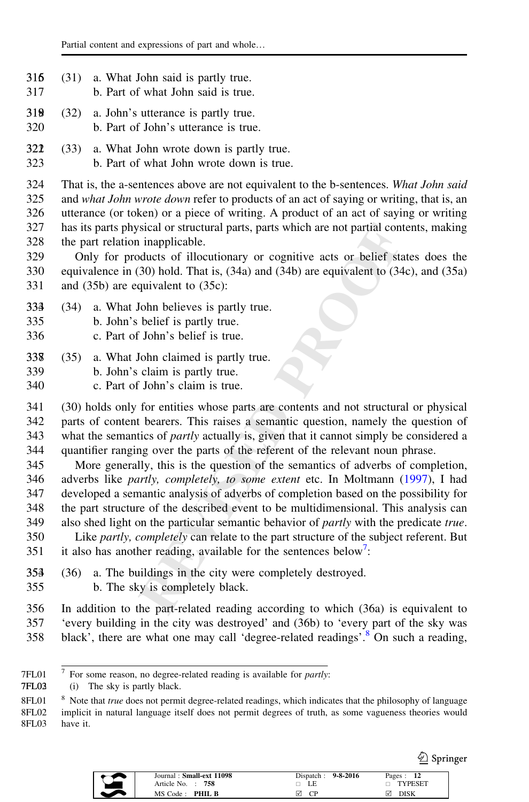- 315 (31) a. What John said is partly true.
- 317 b. Part of what John said is true.
- 319 (32) a. John's utterance is partly true.
- 320 b. Part of John's utterance is true.
- 322 (33) a. What John wrote down is partly true.<br>323 b. Part of what John wrote down is true.
- b. Part of what John wrote down is true.

324 That is, the a-sentences above are not equivalent to the b-sentences. What John said 325 and what John wrote down refer to products of an act of saying or writing, that is, an 326 utterance (or token) or a piece of writing. A product of an act of saying or writing 327 has its parts physical or structural parts, parts which are not partial contents, making 328 the part relation inapplicable.

329 Only for products of illocutionary or cognitive acts or belief states does the 330 equivalence in (30) hold. That is, (34a) and (34b) are equivalent to (34c), and (35a) 331 and (35b) are equivalent to (35c):

- 333 (34) 334 a. What John believes is partly true.
- 335 b. John's belief is partly true.
- 336 c. Part of John's belief is true.
- 338 (35) a. What John claimed is partly true.
- 339 b. John's claim is partly true.
- 340 c. Part of John's claim is true.

341 (30) holds only for entities whose parts are contents and not structural or physical 342 parts of content bearers. This raises a semantic question, namely the question of 343 what the semantics of *partly* actually is, given that it cannot simply be considered a 344 quantifier ranging over the parts of the referent of the relevant noun phrase.

sical or structural parts, parts which are not partial con<br>
inapplicable.<br>
dotates of illocutionary or cognitive acts or belief sta<br>
dotators of illocutionary or cognitive acts or belief sta<br>
quivalent to (35c):<br>
John bel 345 More generally, this is the question of the semantics of adverbs of completion, 346 adverbs like partly, completely, to some extent etc. In Moltmann ([1997\)](#page-10-0), I had 347 developed a semantic analysis of adverbs of completion based on the possibility for 348 the part structure of the described event to be multidimensional. This analysis can 349 also shed light on the particular semantic behavior of *partly* with the predicate *true*. 350 Like *partly, completely* can relate to the part structure of the subject referent. But

351 it also has another reading, available for the sentences below<sup>7</sup>:

- 353 (36) 354 a. The buildings in the city were completely destroyed.
- 355 b. The sky is completely black.

356 In addition to the part-related reading according to which (36a) is equivalent to 357 'every building in the city was destroyed' and (36b) to 'every part of the sky was 358 black', there are what one may call 'degree-related readings'.8 On such a reading,

| Journal: Small-ext 11098 | Dispatch : 9-8-2016 | Pages: 12   |
|--------------------------|---------------------|-------------|
| Article No. : 758        | - LE                | n TYPESET   |
| MS Code : PHIL B         | $\cap$              | <b>DISK</b> |

<sup>7</sup>FL01  $<sup>7</sup>$  For some reason, no degree-related reading is available for *partly*:<br>**7FL03** (i) The sky is partly black.</sup>

 $(i)$  The sky is partly black.

<sup>8</sup>FL01 <sup>8</sup> Note that *true* does not permit degree-related readings, which indicates that the philosophy of language 8FL02 implicit in natural language itself does not permit degrees of truth, as some vagueness theories wou implicit in natural language itself does not permit degrees of truth, as some vagueness theories would 8FL03 have it.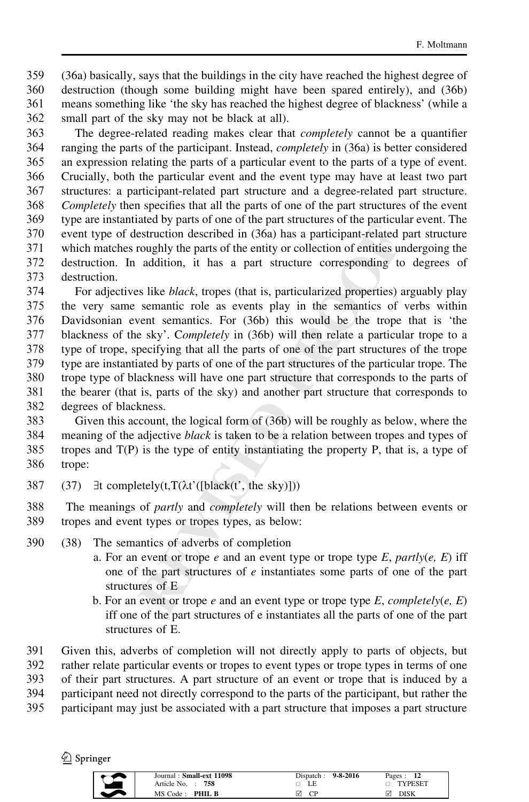(36a) basically, says that the buildings in the city have reached the highest degree of destruction (though some building might have been spared entirely), and (36b) means something like 'the sky has reached the highest degree of blackness' (while a small part of the sky may not be black at all).

363 The degree-related reading makes clear that *completely* cannot be a quantifier 364 ranging the parts of the participant. Instead, *completely* in (36a) is better considered ranging the parts of the participant. Instead, *completely* in (36a) is better considered an expression relating the parts of a particular event to the parts of a type of event. Crucially, both the particular event and the event type may have at least two part structures: a participant-related part structure and a degree-related part structure. Completely then specifies that all the parts of one of the part structures of the event type are instantiated by parts of one of the part structures of the particular event. The event type of destruction described in (36a) has a participant-related part structure which matches roughly the parts of the entity or collection of entities undergoing the destruction. In addition, it has a part structure corresponding to degrees of destruction.

estruction described in (36a) has a participant-related roughly the parts of the entity or collection of entities unddition, it has a part structure corresponding to roughly the parts of the entity or collection of entiti 374 For adjectives like *black*, tropes (that is, particularized properties) arguably play 375 the very same semantic role as events play in the semantics of verbs within 375 the very same semantic role as events play in the semantics of verbs within 376 Davidsonian event semantics. For (36b) this would be the trope that is 'the Davidsonian event semantics. For (36b) this would be the trope that is 'the 377 blackness of the sky'. Completely in (36b) will then relate a particular trope to a 378 type of trope, specifying that all the parts of one of the part structures of the trope 378 type of trope, specifying that all the parts of one of the part structures of the trope<br>379 type are instantiated by parts of one of the part structures of the particular trope. The type are instantiated by parts of one of the part structures of the particular trope. The 380 trope type of blackness will have one part structure that corresponds to the parts of 381 the bearer (that is, parts of the sky) and another part structure that corresponds to 382 degrees of blackness.

383 Given this account, the logical form of (36b) will be roughly as below, where the 384 meaning of the adjective *black* is taken to be a relation between tropes and types of 385 tropes and T(P) is the type of entity instantiating the property P, that is, a type of 386 trope:

387 (37) It completely(t, $T(\lambda t'([black(t', the sky)]))$ 

388 The meanings of *partly* and *completely* will then be relations between events or 389 tropes and event types or tropes types, as below: tropes and event types or tropes types, as below:

- 390 (38) The semantics of adverbs of completion
	- a. For an event or trope e and an event type or trope type E, partly(e, E) iff one of the part structures of e instantiates some parts of one of the part structures of E
	- b. For an event or trope e and an event type or trope type E, completely(e,  $E$ ) iff one of the part structures of e instantiates all the parts of one of the part structures of E.

391 Given this, adverbs of completion will not directly apply to parts of objects, but

392 rather relate particular events or tropes to event types or trope types in terms of one

393 of their part structures. A part structure of an event or trope that is induced by a

394 participant need not directly correspond to the parts of the participant, but rather the

395 participant may just be associated with a part structure that imposes a part structure

 $\hat{D}$  Springer

| Journal: Small-ext 11098 | Dispatch: 9-8-2016 | Pages: 12        |
|--------------------------|--------------------|------------------|
| Article No. : 758        | - LE               | <b>TYPESET</b>   |
| MS Code: PHIL B          | ⊠ ∈г               | <b>DISK</b><br>☑ |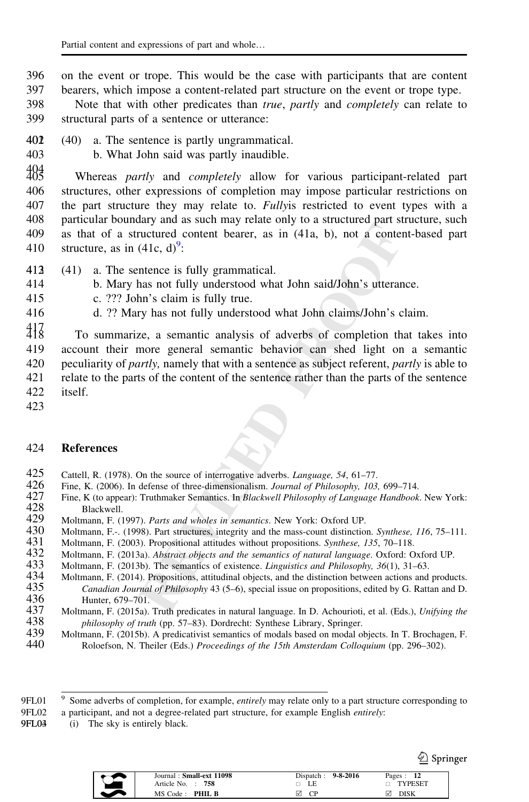- <span id="page-10-0"></span>396 on the event or trope. This would be the case with participants that are content 397 bearers, which impose a content-related part structure on the event or trope type.
- 398 Note that with other predicates than *true*, *partly* and *completely* can relate to 399 structural parts of a sentence or utterance: structural parts of a sentence or utterance:
- 402  $(40)$  a. The sentence is partly ungrammatical.<br>403 b What John said was partly inaudible
	- b. What John said was partly inaudible.

404<br>405 Whereas *partly* and *completely* allow for various participant-related part 406 structures, other expressions of completion may impose particular restrictions on 407 the part structure they may relate to. Fully is restricted to event types with a 408 particular boundary and as such may relate only to a structured part structure, such 409 as that of a structured content bearer, as in (41a, b), not a content-based part 410 structure, as in  $(41c, d)^9$ :

- 412 (41) a. The sentence is fully grammatical.
- 414 b. Mary has not fully understood what John said/John's utterance.
- 415 c. ??? John's claim is fully true.<br>416 d. ?? Mary has not fully understo
- d. ?? Mary has not fully understood what John claims/John's claim.

must are orientated content bearer, as in (41a, b), not a content<br>
(41c, d)<sup>9</sup>:<br>
Internece is fully grammatical.<br>
(41c, d)<sup>9</sup>:<br>
Internece is fully grammatical.<br>
has not fully understood what John said/John's utterar<br>
hn's 417<br>To summarize, a semantic analysis of adverbs of completion that takes into<br>419 account their more general semantic behavior can shed light on a semantic account their more general semantic behavior can shed light on a semantic 420 peculiarity of *partly*, namely that with a sentence as subject referent, *partly* is able to 421 relate to the parts of the content of the sentence rather than the parts of the sentence 422 itself.

423

### 424 References

- 425 Cattell, R. (1978). On the source of interrogative adverbs. Language, 54, 61–77.<br>426 Fine, K. (2006). In defense of three-dimensionalism. Journal of Philosophy, 103,
- 426 Fine, K. (2006). In defense of three-dimensionalism. Journal of Philosophy, 103, 699–714.<br>427 Fine. K (to appear): Truthmaker Semantics. In Blackwell Philosophy of Language Handbook
- 427 Fine, K (to appear): Truthmaker Semantics. In Blackwell Philosophy of Language Handbook. New York: 428 Blackwell 428 Blackwell.<br>429 Moltmann, F. (1)
- 429 Moltmann, F. (1997). Parts and wholes in semantics. New York: Oxford UP.<br>430 Moltmann, F.-. (1998). Part structures, integrity and the mass-count distinction
- 430 Moltmann, F.-. (1998). Part structures, integrity and the mass-count distinction. Synthese, 116, 75–111.<br>431 Moltmann, F. (2003). Propositional attitudes without propositions. Synthese, 135, 70–118.
- 431 Moltmann, F. (2003). Propositional attitudes without propositions. Synthese, 135, 70–118.<br>432 Moltmann, F. (2013a). Abstract objects and the semantics of natural language. Oxford: O
- 432 Moltmann, F. (2013a). *Abstract objects and the semantics of natural language*. Oxford: Oxford UP.<br>433 Moltmann, F. (2013b). The semantics of existence. *Lineuistics and Philosophy*. 36(1). 31–63.
- 433 Moltmann, F. (2013b). The semantics of existence. *Linguistics and Philosophy*, 36(1), 31–63.<br>434 Moltmann, F. (2014). Propositions, attitudinal objects, and the distinction between actions and
- 434 Moltmann, F. (2014). Propositions, attitudinal objects, and the distinction between actions and products.<br>435 Canadian Journal of Philosophy 43 (5–6), special issue on propositions, edited by G. Rattan and D. 435 *Canadian Journal of Philosophy* 43 (5–6), special issue on propositions, edited by G. Rattan and D.<br>436 Hunter 679–701 436 Hunter, 679–701.<br>437 Moltmann, F. (2015a).
- 437 Moltmann, F. (2015a). Truth predicates in natural language. In D. Achourioti, et al. (Eds.), Unifying the philosophy of truth (pp. 57–83). Dordrecht: Synthese Library. Springer. 438 philosophy of truth (pp. 57–83). Dordrecht: Synthese Library, Springer.<br>439 Moltmann F (2015b) A predicativist semantics of modals based on modal of
- 439 Moltmann, F. (2015b). A predicativist semantics of modals based on modal objects. In T. Brochagen, F. 440 Roloefson, N. Theiler (Eds.) *Proceedings of the 15th Amsterdam Colloquium* (pp. 296–302). Roloefson, N. Theiler (Eds.) *Proceedings of the 15th Amsterdam Colloquium* (pp. 296–302).

9FL01 <sup>9</sup> Some adverbs of completion, for example, *entirely* may relate only to a part structure corresponding to

- 9FL02 a participant, and not a degree-related part structure, for example English entirely:
- 9FL03 (i) The sky is entirely black.

| Journal: Small-ext 11098 | 9-8-2016<br>Dispatch: | Pages: 12         |
|--------------------------|-----------------------|-------------------|
| Article No. : 758        |                       | <b>TYPESET</b>    |
| MS Code: PHILB           | CD                    | <b>DISK</b><br>ا⊠ |